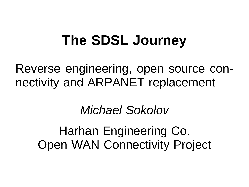## **The SDSL Journey**

Reverse engineering, open source connectivity and ARPANET replacement

#### Michael Sokolov

Harhan Engineering Co. Open WAN Connectivity Project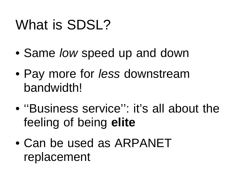# What is SDSL?

- Same low speed up and down
- Pay more for *less* downstream **bandwidth!**
- ''Business service'': it's all about the feeling of being **elite**
- Can be used as ARPANET replacement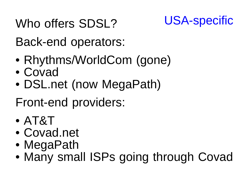Who offers SDSL? USA-specific



Back-end operators:

- Rhythms/WorldCom (gone)
- Covad
- DSL.net (now MegaPath)

Front-end providers:

- AT&T
- Covad.net
- MegaPath
- Many small ISPs going through Covad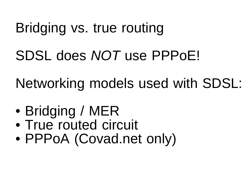## Bridging vs. true routing

SDSL does NOT use PPPoE!

Networking models used with SDSL:

- Bridging / MER
- True routed circuit
- PPPoA (Covad.net only)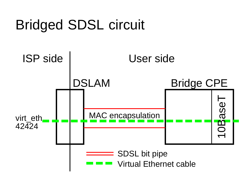# Bridged SDSL circuit

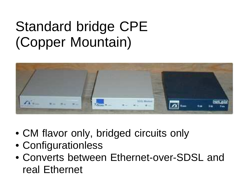## Standard bridge CPE (Copper Mountain)



- CM flavor only, bridged circuits only
- Configurationless
- Converts between Ethernet-over-SDSL and real Ethernet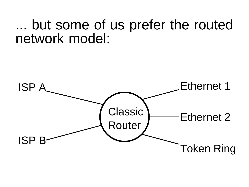### ... but some of us prefer the routed network model:

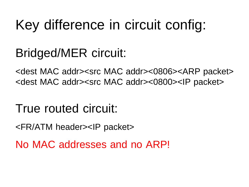# Key difference in circuit config:

### Bridged/MER circuit:

<dest MAC addr><src MAC addr><0806><ARP packet> <dest MAC addr><src MAC addr><0800><IP packet>

True routed circuit:

<FR/ATM header><IP packet>

No MAC addresses and no ARP!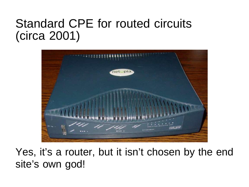#### Standard CPE for routed circuits (circa 2001)



Yes, it's a router, but it isn't chosen by the end site's own god!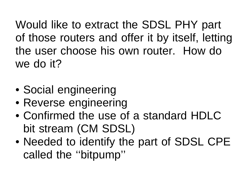Would like to extract the SDSL PHY part of those routers and offer it by itself, letting the user choose his own router. How do we do it?

- Social engineering
- Reverse engineering
- Confirmed the use of a standard HDLC bit stream (CM SDSL)
- Needed to identify the part of SDSL CPE called the ''bitpump''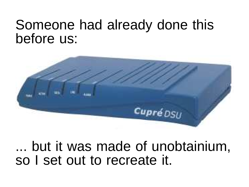### Someone had already done this before us:



... but it was made of unobtainium, so I set out to recreate it.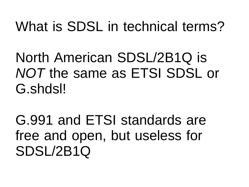## What is SDSL in technical terms?

North American SDSL/2B1Q is NOT the same as ETSI SDSL or G.shdsl!

G.991 and ETSI standards are free and open, but useless for SDSL/2B1Q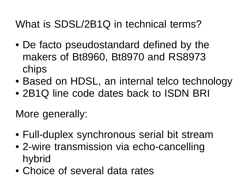What is SDSL/2B1Q in technical terms?

- De facto pseudostandard defined by the makers of Bt8960, Bt8970 and RS8973 chips
- Based on HDSL, an internal telco technology
- 2B1Q line code dates back to ISDN BRI

More generally:

- Full-duplex synchronous serial bit stream
- 2-wire transmission via echo-cancelling hybrid
- Choice of several data rates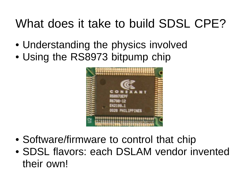### What does it take to build SDSL CPE?

- Understanding the physics involved
- Using the RS8973 bitpump chip



- Software/firmware to control that chip
- SDSL flavors: each DSLAM vendor invented their own!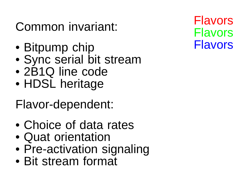### Common invariant:

- Bitpump chip
- Sync serial bit stream
- 2B1Q line code
- HDSL heritage

Flavor-dependent:

- Choice of data rates
- Quat orientation
- Pre-activation signaling
- Bit stream format

Flavors Flavors Flavors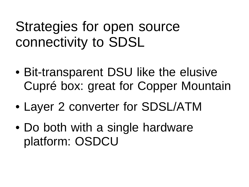## Strategies for open source connectivity to SDSL

- Bit-transparent DSU like the elusive Cupré box: great for Copper Mountain
- Layer 2 converter for SDSL/ATM
- Do both with a single hardware platform: OSDCU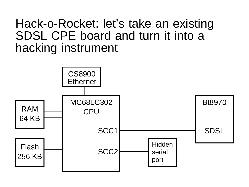#### Hack-o-Rocket: let's take an existing SDSL CPE board and turn it into a hacking instrument

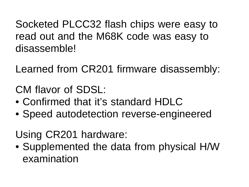Socketed PLCC32 flash chips were easy to read out and the M68K code was easy to disassemble!

Learned from CR201 firmware disassembly:

CM flavor of SDSL:

- Confirmed that it's standard HDI C
- Speed autodetection reverse-engineered

Using CR201 hardware:

• Supplemented the data from physical H/W examination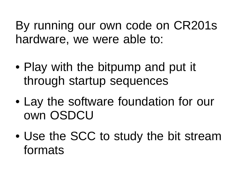By running our own code on CR201s hardware, we were able to:

- Play with the bitpump and put it through startup sequences
- Lay the software foundation for our own OSDCU
- Use the SCC to study the bit stream formats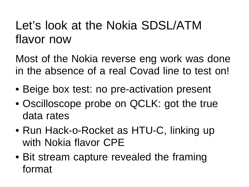#### Let's look at the Nokia SDSL/ATM flavor now

Most of the Nokia reverse eng work was done in the absence of a real Covad line to test on!

- Beige box test: no pre-activation present
- Oscilloscope probe on QCLK: got the true data rates
- Run Hack-o-Rocket as HTU-C, linking up with Nokia flavor CPE
- Bit stream capture revealed the framing format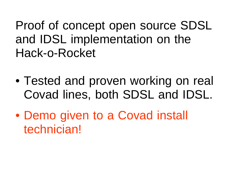Proof of concept open source SDSL and IDSL implementation on the Hack-o-Rocket

- Tested and proven working on real Covad lines, both SDSL and IDSL.
- Demo given to a Covad install technician!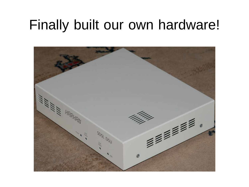## Finally built our own hardware!

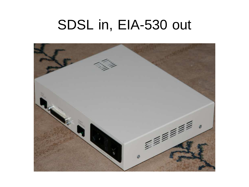### SDSL in, EIA-530 out

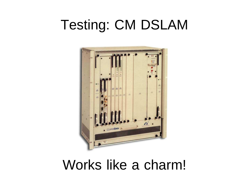# Testing: CM DSLAM



#### Works like a charm!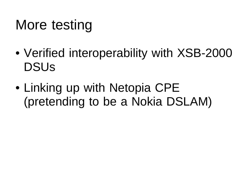# More testing

- Verified interoperability with XSB-2000 DSUs
- Linking up with Netopia CPE (pretending to be a Nokia DSLAM)